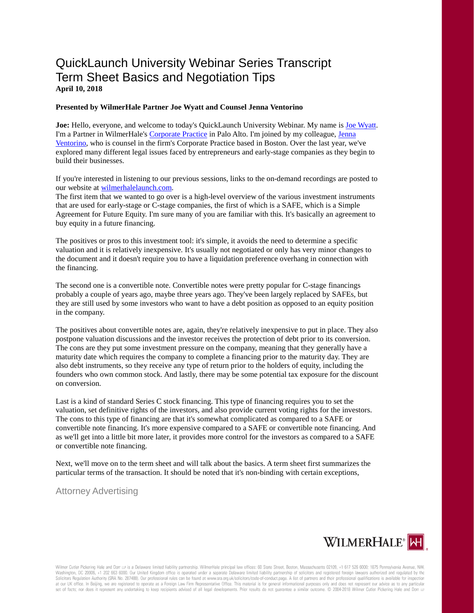## QuickLaunch University Webinar Series Transcript Term Sheet Basics and Negotiation Tips **April 10, 2018**

## **Presented by WilmerHale Partner Joe Wyatt and Counsel Jenna Ventorino**

**Joe:** Hello, everyone, and welcome to today's QuickLaunch University Webinar. My name i[s Joe Wyatt.](https://launch.wilmerhale.com/meet-our-team/joe-wyatt/) I'm a Partner in WilmerHale's [Corporate Practice](https://www.wilmerhale.com/corporate/) in Palo Alto. I'm joined by my colleague, [Jenna](https://launch.wilmerhale.com/meet-our-team/jenna-ventorino/)  [Ventorino,](https://launch.wilmerhale.com/meet-our-team/jenna-ventorino/) who is counsel in the firm's Corporate Practice based in Boston. Over the last year, we've explored many different legal issues faced by entrepreneurs and early-stage companies as they begin to build their businesses.

If you're interested in listening to our previous sessions, links to the on-demand recordings are posted to our website a[t wilmerhalelaunch.com.](https://launch.wilmerhale.com/)

The first item that we wanted to go over is a high-level overview of the various investment instruments that are used for early-stage or C-stage companies, the first of which is a SAFE, which is a Simple Agreement for Future Equity. I'm sure many of you are familiar with this. It's basically an agreement to buy equity in a future financing.

The positives or pros to this investment tool: it's simple, it avoids the need to determine a specific valuation and it is relatively inexpensive. It's usually not negotiated or only has very minor changes to the document and it doesn't require you to have a liquidation preference overhang in connection with the financing.

The second one is a convertible note. Convertible notes were pretty popular for C-stage financings probably a couple of years ago, maybe three years ago. They've been largely replaced by SAFEs, but they are still used by some investors who want to have a debt position as opposed to an equity position in the company.

The positives about convertible notes are, again, they're relatively inexpensive to put in place. They also postpone valuation discussions and the investor receives the protection of debt prior to its conversion. The cons are they put some investment pressure on the company, meaning that they generally have a maturity date which requires the company to complete a financing prior to the maturity day. They are also debt instruments, so they receive any type of return prior to the holders of equity, including the founders who own common stock. And lastly, there may be some potential tax exposure for the discount on conversion.

Last is a kind of standard Series C stock financing. This type of financing requires you to set the valuation, set definitive rights of the investors, and also provide current voting rights for the investors. The cons to this type of financing are that it's somewhat complicated as compared to a SAFE or convertible note financing. It's more expensive compared to a SAFE or convertible note financing. And as we'll get into a little bit more later, it provides more control for the investors as compared to a SAFE or convertible note financing.

Next, we'll move on to the term sheet and will talk about the basics. A term sheet first summarizes the particular terms of the transaction. It should be noted that it's non-binding with certain exceptions,

Attorney Advertising

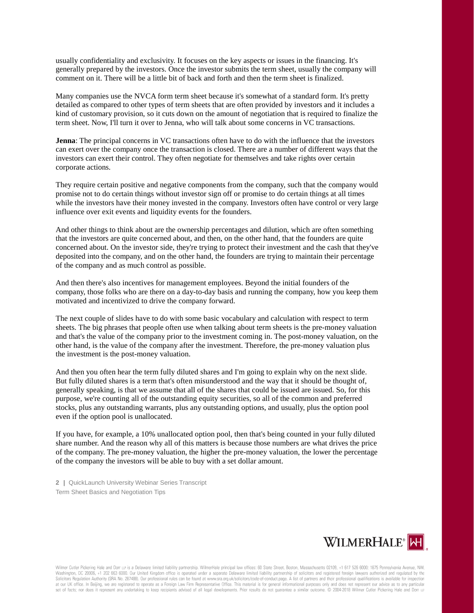usually confidentiality and exclusivity. It focuses on the key aspects or issues in the financing. It's generally prepared by the investors. Once the investor submits the term sheet, usually the company will comment on it. There will be a little bit of back and forth and then the term sheet is finalized.

Many companies use the NVCA form term sheet because it's somewhat of a standard form. It's pretty detailed as compared to other types of term sheets that are often provided by investors and it includes a kind of customary provision, so it cuts down on the amount of negotiation that is required to finalize the term sheet. Now, I'll turn it over to Jenna, who will talk about some concerns in VC transactions.

**Jenna**: The principal concerns in VC transactions often have to do with the influence that the investors can exert over the company once the transaction is closed. There are a number of different ways that the investors can exert their control. They often negotiate for themselves and take rights over certain corporate actions.

They require certain positive and negative components from the company, such that the company would promise not to do certain things without investor sign off or promise to do certain things at all times while the investors have their money invested in the company. Investors often have control or very large influence over exit events and liquidity events for the founders.

And other things to think about are the ownership percentages and dilution, which are often something that the investors are quite concerned about, and then, on the other hand, that the founders are quite concerned about. On the investor side, they're trying to protect their investment and the cash that they've deposited into the company, and on the other hand, the founders are trying to maintain their percentage of the company and as much control as possible.

And then there's also incentives for management employees. Beyond the initial founders of the company, those folks who are there on a day-to-day basis and running the company, how you keep them motivated and incentivized to drive the company forward.

The next couple of slides have to do with some basic vocabulary and calculation with respect to term sheets. The big phrases that people often use when talking about term sheets is the pre-money valuation and that's the value of the company prior to the investment coming in. The post-money valuation, on the other hand, is the value of the company after the investment. Therefore, the pre-money valuation plus the investment is the post-money valuation.

And then you often hear the term fully diluted shares and I'm going to explain why on the next slide. But fully diluted shares is a term that's often misunderstood and the way that it should be thought of, generally speaking, is that we assume that all of the shares that could be issued are issued. So, for this purpose, we're counting all of the outstanding equity securities, so all of the common and preferred stocks, plus any outstanding warrants, plus any outstanding options, and usually, plus the option pool even if the option pool is unallocated.

If you have, for example, a 10% unallocated option pool, then that's being counted in your fully diluted share number. And the reason why all of this matters is because those numbers are what drives the price of the company. The pre-money valuation, the higher the pre-money valuation, the lower the percentage of the company the investors will be able to buy with a set dollar amount.

**2 |** QuickLaunch University Webinar Series Transcript Term Sheet Basics and Negotiation Tips

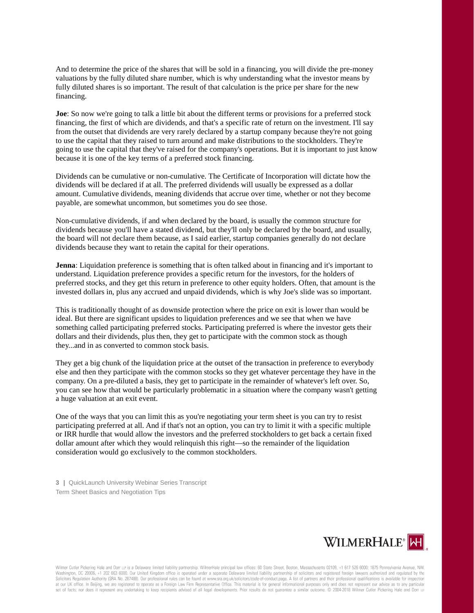And to determine the price of the shares that will be sold in a financing, you will divide the pre-money valuations by the fully diluted share number, which is why understanding what the investor means by fully diluted shares is so important. The result of that calculation is the price per share for the new financing.

**Joe**: So now we're going to talk a little bit about the different terms or provisions for a preferred stock financing, the first of which are dividends, and that's a specific rate of return on the investment. I'll say from the outset that dividends are very rarely declared by a startup company because they're not going to use the capital that they raised to turn around and make distributions to the stockholders. They're going to use the capital that they've raised for the company's operations. But it is important to just know because it is one of the key terms of a preferred stock financing.

Dividends can be cumulative or non-cumulative. The Certificate of Incorporation will dictate how the dividends will be declared if at all. The preferred dividends will usually be expressed as a dollar amount. Cumulative dividends, meaning dividends that accrue over time, whether or not they become payable, are somewhat uncommon, but sometimes you do see those.

Non-cumulative dividends, if and when declared by the board, is usually the common structure for dividends because you'll have a stated dividend, but they'll only be declared by the board, and usually, the board will not declare them because, as I said earlier, startup companies generally do not declare dividends because they want to retain the capital for their operations.

**Jenna**: Liquidation preference is something that is often talked about in financing and it's important to understand. Liquidation preference provides a specific return for the investors, for the holders of preferred stocks, and they get this return in preference to other equity holders. Often, that amount is the invested dollars in, plus any accrued and unpaid dividends, which is why Joe's slide was so important.

This is traditionally thought of as downside protection where the price on exit is lower than would be ideal. But there are significant upsides to liquidation preferences and we see that when we have something called participating preferred stocks. Participating preferred is where the investor gets their dollars and their dividends, plus then, they get to participate with the common stock as though they...and in as converted to common stock basis.

They get a big chunk of the liquidation price at the outset of the transaction in preference to everybody else and then they participate with the common stocks so they get whatever percentage they have in the company. On a pre-diluted a basis, they get to participate in the remainder of whatever's left over. So, you can see how that would be particularly problematic in a situation where the company wasn't getting a huge valuation at an exit event.

One of the ways that you can limit this as you're negotiating your term sheet is you can try to resist participating preferred at all. And if that's not an option, you can try to limit it with a specific multiple or IRR hurdle that would allow the investors and the preferred stockholders to get back a certain fixed dollar amount after which they would relinquish this right—so the remainder of the liquidation consideration would go exclusively to the common stockholders.

**3 |** QuickLaunch University Webinar Series Transcript Term Sheet Basics and Negotiation Tips

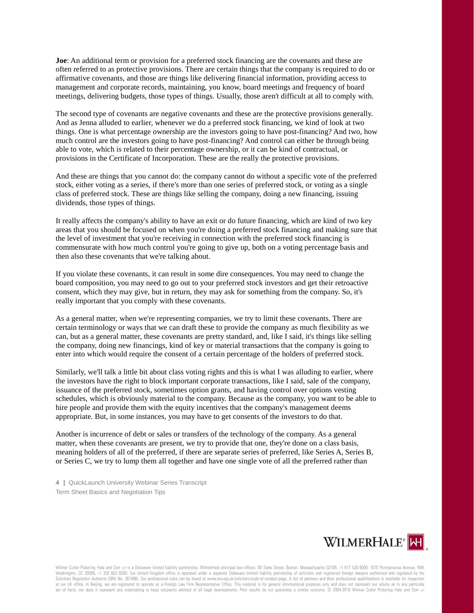**Joe**: An additional term or provision for a preferred stock financing are the covenants and these are often referred to as protective provisions. There are certain things that the company is required to do or affirmative covenants, and those are things like delivering financial information, providing access to management and corporate records, maintaining, you know, board meetings and frequency of board meetings, delivering budgets, those types of things. Usually, those aren't difficult at all to comply with.

The second type of covenants are negative covenants and these are the protective provisions generally. And as Jenna alluded to earlier, whenever we do a preferred stock financing, we kind of look at two things. One is what percentage ownership are the investors going to have post-financing? And two, how much control are the investors going to have post-financing? And control can either be through being able to vote, which is related to their percentage ownership, or it can be kind of contractual, or provisions in the Certificate of Incorporation. These are the really the protective provisions.

And these are things that you cannot do: the company cannot do without a specific vote of the preferred stock, either voting as a series, if there's more than one series of preferred stock, or voting as a single class of preferred stock. These are things like selling the company, doing a new financing, issuing dividends, those types of things.

It really affects the company's ability to have an exit or do future financing, which are kind of two key areas that you should be focused on when you're doing a preferred stock financing and making sure that the level of investment that you're receiving in connection with the preferred stock financing is commensurate with how much control you're going to give up, both on a voting percentage basis and then also these covenants that we're talking about.

If you violate these covenants, it can result in some dire consequences. You may need to change the board composition, you may need to go out to your preferred stock investors and get their retroactive consent, which they may give, but in return, they may ask for something from the company. So, it's really important that you comply with these covenants.

As a general matter, when we're representing companies, we try to limit these covenants. There are certain terminology or ways that we can draft these to provide the company as much flexibility as we can, but as a general matter, these covenants are pretty standard, and, like I said, it's things like selling the company, doing new financings, kind of key or material transactions that the company is going to enter into which would require the consent of a certain percentage of the holders of preferred stock.

Similarly, we'll talk a little bit about class voting rights and this is what I was alluding to earlier, where the investors have the right to block important corporate transactions, like I said, sale of the company, issuance of the preferred stock, sometimes option grants, and having control over options vesting schedules, which is obviously material to the company. Because as the company, you want to be able to hire people and provide them with the equity incentives that the company's management deems appropriate. But, in some instances, you may have to get consents of the investors to do that.

Another is incurrence of debt or sales or transfers of the technology of the company. As a general matter, when these covenants are present, we try to provide that one, they're done on a class basis, meaning holders of all of the preferred, if there are separate series of preferred, like Series A, Series B, or Series C, we try to lump them all together and have one single vote of all the preferred rather than

**4 |** QuickLaunch University Webinar Series Transcript Term Sheet Basics and Negotiation Tips

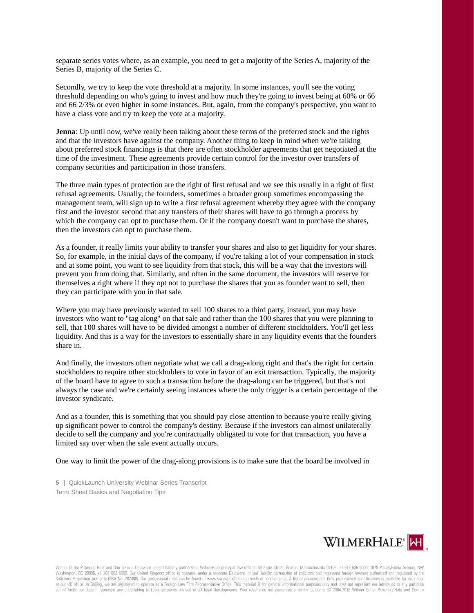separate series votes where, as an example, you need to get a majority of the Series A, majority of the Series B, majority of the Series C.

Secondly, we try to keep the vote threshold at a majority. In some instances, you'll see the voting threshold depending on who's going to invest and how much they're going to invest being at 60% or 66 and 66 2/3% or even higher in some instances. But, again, from the company's perspective, you want to have a class vote and try to keep the vote at a majority.

**Jenna**: Up until now, we've really been talking about these terms of the preferred stock and the rights and that the investors have against the company. Another thing to keep in mind when we're talking about preferred stock financings is that there are often stockholder agreements that get negotiated at the time of the investment. These agreements provide certain control for the investor over transfers of company securities and participation in those transfers.

The three main types of protection are the right of first refusal and we see this usually in a right of first refusal agreements. Usually, the founders, sometimes a broader group sometimes encompassing the management team, will sign up to write a first refusal agreement whereby they agree with the company first and the investor second that any transfers of their shares will have to go through a process by which the company can opt to purchase them. Or if the company doesn't want to purchase the shares, then the investors can opt to purchase them.

As a founder, it really limits your ability to transfer your shares and also to get liquidity for your shares. So, for example, in the initial days of the company, if you're taking a lot of your compensation in stock and at some point, you want to see liquidity from that stock, this will be a way that the investors will prevent you from doing that. Similarly, and often in the same document, the investors will reserve for themselves a right where if they opt not to purchase the shares that you as founder want to sell, then they can participate with you in that sale.

Where you may have previously wanted to sell 100 shares to a third party, instead, you may have investors who want to "tag along" on that sale and rather than the 100 shares that you were planning to sell, that 100 shares will have to be divided amongst a number of different stockholders. You'll get less liquidity. And this is a way for the investors to essentially share in any liquidity events that the founders share in.

And finally, the investors often negotiate what we call a drag-along right and that's the right for certain stockholders to require other stockholders to vote in favor of an exit transaction. Typically, the majority of the board have to agree to such a transaction before the drag-along can be triggered, but that's not always the case and we're certainly seeing instances where the only trigger is a certain percentage of the investor syndicate.

And as a founder, this is something that you should pay close attention to because you're really giving up significant power to control the company's destiny. Because if the investors can almost unilaterally decide to sell the company and you're contractually obligated to vote for that transaction, you have a limited say over when the sale event actually occurs.

One way to limit the power of the drag-along provisions is to make sure that the board be involved in

**5 |** QuickLaunch University Webinar Series Transcript Term Sheet Basics and Negotiation Tips

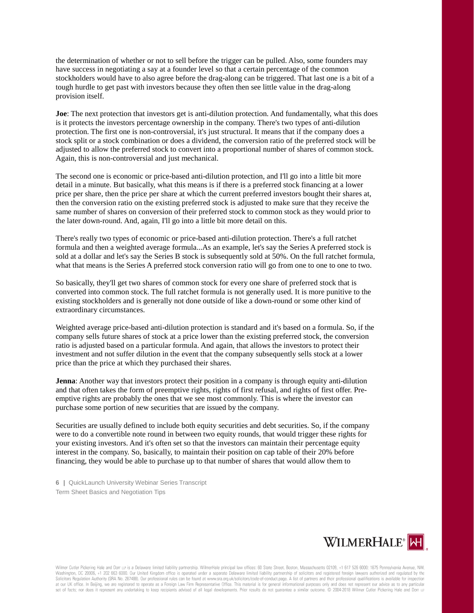the determination of whether or not to sell before the trigger can be pulled. Also, some founders may have success in negotiating a say at a founder level so that a certain percentage of the common stockholders would have to also agree before the drag-along can be triggered. That last one is a bit of a tough hurdle to get past with investors because they often then see little value in the drag-along provision itself.

**Joe**: The next protection that investors get is anti-dilution protection. And fundamentally, what this does is it protects the investors percentage ownership in the company. There's two types of anti-dilution protection. The first one is non-controversial, it's just structural. It means that if the company does a stock split or a stock combination or does a dividend, the conversion ratio of the preferred stock will be adjusted to allow the preferred stock to convert into a proportional number of shares of common stock. Again, this is non-controversial and just mechanical.

The second one is economic or price-based anti-dilution protection, and I'll go into a little bit more detail in a minute. But basically, what this means is if there is a preferred stock financing at a lower price per share, then the price per share at which the current preferred investors bought their shares at, then the conversion ratio on the existing preferred stock is adjusted to make sure that they receive the same number of shares on conversion of their preferred stock to common stock as they would prior to the later down-round. And, again, I'll go into a little bit more detail on this.

There's really two types of economic or price-based anti-dilution protection. There's a full ratchet formula and then a weighted average formula...As an example, let's say the Series A preferred stock is sold at a dollar and let's say the Series B stock is subsequently sold at 50%. On the full ratchet formula, what that means is the Series A preferred stock conversion ratio will go from one to one to one to two.

So basically, they'll get two shares of common stock for every one share of preferred stock that is converted into common stock. The full ratchet formula is not generally used. It is more punitive to the existing stockholders and is generally not done outside of like a down-round or some other kind of extraordinary circumstances.

Weighted average price-based anti-dilution protection is standard and it's based on a formula. So, if the company sells future shares of stock at a price lower than the existing preferred stock, the conversion ratio is adjusted based on a particular formula. And again, that allows the investors to protect their investment and not suffer dilution in the event that the company subsequently sells stock at a lower price than the price at which they purchased their shares.

**Jenna**: Another way that investors protect their position in a company is through equity anti-dilution and that often takes the form of preemptive rights, rights of first refusal, and rights of first offer. Preemptive rights are probably the ones that we see most commonly. This is where the investor can purchase some portion of new securities that are issued by the company.

Securities are usually defined to include both equity securities and debt securities. So, if the company were to do a convertible note round in between two equity rounds, that would trigger these rights for your existing investors. And it's often set so that the investors can maintain their percentage equity interest in the company. So, basically, to maintain their position on cap table of their 20% before financing, they would be able to purchase up to that number of shares that would allow them to

**6 |** QuickLaunch University Webinar Series Transcript Term Sheet Basics and Negotiation Tips

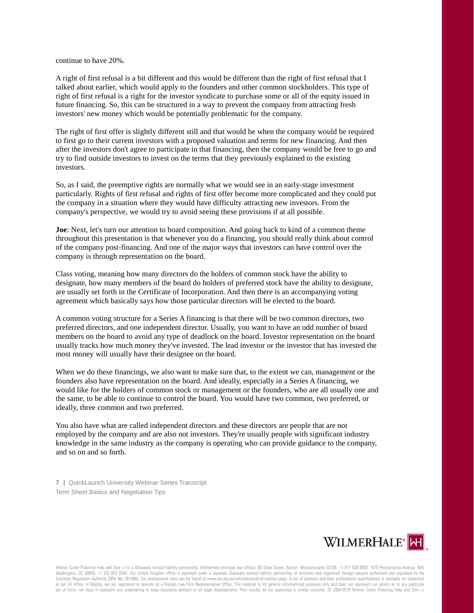continue to have 20%.

A right of first refusal is a bit different and this would be different than the right of first refusal that I talked about earlier, which would apply to the founders and other common stockholders. This type of right of first refusal is a right for the investor syndicate to purchase some or all of the equity issued in future financing. So, this can be structured in a way to prevent the company from attracting fresh investors' new money which would be potentially problematic for the company.

The right of first offer is slightly different still and that would be when the company would be required to first go to their current investors with a proposed valuation and terms for new financing. And then after the investors don't agree to participate in that financing, then the company would be free to go and try to find outside investors to invest on the terms that they previously explained to the existing investors.

So, as I said, the preemptive rights are normally what we would see in an early-stage investment particularly. Rights of first refusal and rights of first offer become more complicated and they could put the company in a situation where they would have difficulty attracting new investors. From the company's perspective, we would try to avoid seeing these provisions if at all possible.

**Joe**: Next, let's turn our attention to board composition. And going back to kind of a common theme throughout this presentation is that whenever you do a financing, you should really think about control of the company post-financing. And one of the major ways that investors can have control over the company is through representation on the board.

Class voting, meaning how many directors do the holders of common stock have the ability to designate, how many members of the board do holders of preferred stock have the ability to designate, are usually set forth in the Certificate of Incorporation. And then there is an accompanying voting agreement which basically says how those particular directors will be elected to the board.

A common voting structure for a Series A financing is that there will be two common directors, two preferred directors, and one independent director. Usually, you want to have an odd number of board members on the board to avoid any type of deadlock on the board. Investor representation on the board usually tracks how much money they've invested. The lead investor or the investor that has invested the most money will usually have their designee on the board.

When we do these financings, we also want to make sure that, to the extent we can, management or the founders also have representation on the board. And ideally, especially in a Series A financing, we would like for the holders of common stock or management or the founders, who are all usually one and the same, to be able to continue to control the board. You would have two common, two preferred, or ideally, three common and two preferred.

You also have what are called independent directors and these directors are people that are not employed by the company and are also not investors. They're usually people with significant industry knowledge in the same industry as the company is operating who can provide guidance to the company, and so on and so forth.

**7 |** QuickLaunch University Webinar Series Transcript Term Sheet Basics and Negotiation Tips

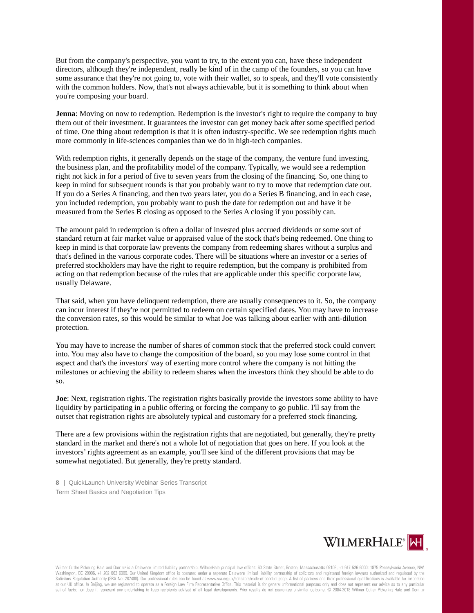But from the company's perspective, you want to try, to the extent you can, have these independent directors, although they're independent, really be kind of in the camp of the founders, so you can have some assurance that they're not going to, vote with their wallet, so to speak, and they'll vote consistently with the common holders. Now, that's not always achievable, but it is something to think about when you're composing your board.

**Jenna**: Moving on now to redemption. Redemption is the investor's right to require the company to buy them out of their investment. It guarantees the investor can get money back after some specified period of time. One thing about redemption is that it is often industry-specific. We see redemption rights much more commonly in life-sciences companies than we do in high-tech companies.

With redemption rights, it generally depends on the stage of the company, the venture fund investing, the business plan, and the profitability model of the company. Typically, we would see a redemption right not kick in for a period of five to seven years from the closing of the financing. So, one thing to keep in mind for subsequent rounds is that you probably want to try to move that redemption date out. If you do a Series A financing, and then two years later, you do a Series B financing, and in each case, you included redemption, you probably want to push the date for redemption out and have it be measured from the Series B closing as opposed to the Series A closing if you possibly can.

The amount paid in redemption is often a dollar of invested plus accrued dividends or some sort of standard return at fair market value or appraised value of the stock that's being redeemed. One thing to keep in mind is that corporate law prevents the company from redeeming shares without a surplus and that's defined in the various corporate codes. There will be situations where an investor or a series of preferred stockholders may have the right to require redemption, but the company is prohibited from acting on that redemption because of the rules that are applicable under this specific corporate law, usually Delaware.

That said, when you have delinquent redemption, there are usually consequences to it. So, the company can incur interest if they're not permitted to redeem on certain specified dates. You may have to increase the conversion rates, so this would be similar to what Joe was talking about earlier with anti-dilution protection.

You may have to increase the number of shares of common stock that the preferred stock could convert into. You may also have to change the composition of the board, so you may lose some control in that aspect and that's the investors' way of exerting more control where the company is not hitting the milestones or achieving the ability to redeem shares when the investors think they should be able to do so.

**Joe**: Next, registration rights. The registration rights basically provide the investors some ability to have liquidity by participating in a public offering or forcing the company to go public. I'll say from the outset that registration rights are absolutely typical and customary for a preferred stock financing.

There are a few provisions within the registration rights that are negotiated, but generally, they're pretty standard in the market and there's not a whole lot of negotiation that goes on here. If you look at the investors' rights agreement as an example, you'll see kind of the different provisions that may be somewhat negotiated. But generally, they're pretty standard.

**8 |** QuickLaunch University Webinar Series Transcript Term Sheet Basics and Negotiation Tips

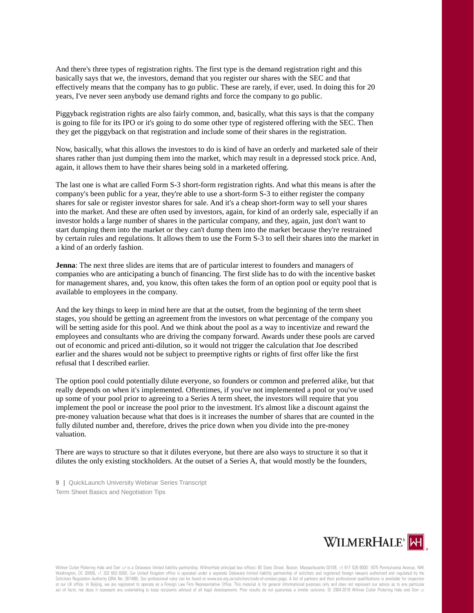And there's three types of registration rights. The first type is the demand registration right and this basically says that we, the investors, demand that you register our shares with the SEC and that effectively means that the company has to go public. These are rarely, if ever, used. In doing this for 20 years, I've never seen anybody use demand rights and force the company to go public.

Piggyback registration rights are also fairly common, and, basically, what this says is that the company is going to file for its IPO or it's going to do some other type of registered offering with the SEC. Then they get the piggyback on that registration and include some of their shares in the registration.

Now, basically, what this allows the investors to do is kind of have an orderly and marketed sale of their shares rather than just dumping them into the market, which may result in a depressed stock price. And, again, it allows them to have their shares being sold in a marketed offering.

The last one is what are called Form S-3 short-form registration rights. And what this means is after the company's been public for a year, they're able to use a short-form S-3 to either register the company shares for sale or register investor shares for sale. And it's a cheap short-form way to sell your shares into the market. And these are often used by investors, again, for kind of an orderly sale, especially if an investor holds a large number of shares in the particular company, and they, again, just don't want to start dumping them into the market or they can't dump them into the market because they're restrained by certain rules and regulations. It allows them to use the Form S-3 to sell their shares into the market in a kind of an orderly fashion.

**Jenna**: The next three slides are items that are of particular interest to founders and managers of companies who are anticipating a bunch of financing. The first slide has to do with the incentive basket for management shares, and, you know, this often takes the form of an option pool or equity pool that is available to employees in the company.

And the key things to keep in mind here are that at the outset, from the beginning of the term sheet stages, you should be getting an agreement from the investors on what percentage of the company you will be setting aside for this pool. And we think about the pool as a way to incentivize and reward the employees and consultants who are driving the company forward. Awards under these pools are carved out of economic and priced anti-dilution, so it would not trigger the calculation that Joe described earlier and the shares would not be subject to preemptive rights or rights of first offer like the first refusal that I described earlier.

The option pool could potentially dilute everyone, so founders or common and preferred alike, but that really depends on when it's implemented. Oftentimes, if you've not implemented a pool or you've used up some of your pool prior to agreeing to a Series A term sheet, the investors will require that you implement the pool or increase the pool prior to the investment. It's almost like a discount against the pre-money valuation because what that does is it increases the number of shares that are counted in the fully diluted number and, therefore, drives the price down when you divide into the pre-money valuation.

There are ways to structure so that it dilutes everyone, but there are also ways to structure it so that it dilutes the only existing stockholders. At the outset of a Series A, that would mostly be the founders,

**9 |** QuickLaunch University Webinar Series Transcript Term Sheet Basics and Negotiation Tips

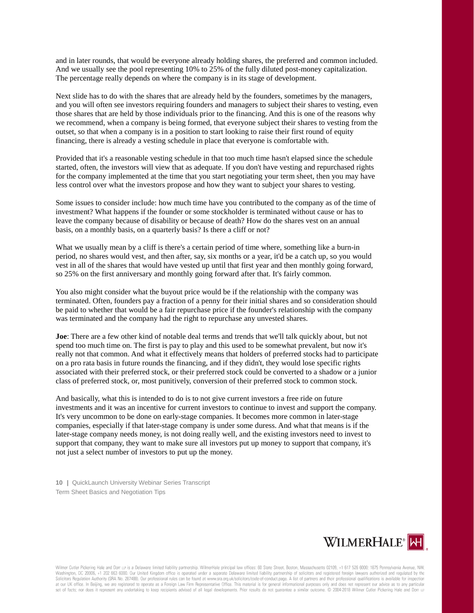and in later rounds, that would be everyone already holding shares, the preferred and common included. And we usually see the pool representing 10% to 25% of the fully diluted post-money capitalization. The percentage really depends on where the company is in its stage of development.

Next slide has to do with the shares that are already held by the founders, sometimes by the managers, and you will often see investors requiring founders and managers to subject their shares to vesting, even those shares that are held by those individuals prior to the financing. And this is one of the reasons why we recommend, when a company is being formed, that everyone subject their shares to vesting from the outset, so that when a company is in a position to start looking to raise their first round of equity financing, there is already a vesting schedule in place that everyone is comfortable with.

Provided that it's a reasonable vesting schedule in that too much time hasn't elapsed since the schedule started, often, the investors will view that as adequate. If you don't have vesting and repurchased rights for the company implemented at the time that you start negotiating your term sheet, then you may have less control over what the investors propose and how they want to subject your shares to vesting.

Some issues to consider include: how much time have you contributed to the company as of the time of investment? What happens if the founder or some stockholder is terminated without cause or has to leave the company because of disability or because of death? How do the shares vest on an annual basis, on a monthly basis, on a quarterly basis? Is there a cliff or not?

What we usually mean by a cliff is there's a certain period of time where, something like a burn-in period, no shares would vest, and then after, say, six months or a year, it'd be a catch up, so you would vest in all of the shares that would have vested up until that first year and then monthly going forward, so 25% on the first anniversary and monthly going forward after that. It's fairly common.

You also might consider what the buyout price would be if the relationship with the company was terminated. Often, founders pay a fraction of a penny for their initial shares and so consideration should be paid to whether that would be a fair repurchase price if the founder's relationship with the company was terminated and the company had the right to repurchase any unvested shares.

**Joe**: There are a few other kind of notable deal terms and trends that we'll talk quickly about, but not spend too much time on. The first is pay to play and this used to be somewhat prevalent, but now it's really not that common. And what it effectively means that holders of preferred stocks had to participate on a pro rata basis in future rounds the financing, and if they didn't, they would lose specific rights associated with their preferred stock, or their preferred stock could be converted to a shadow or a junior class of preferred stock, or, most punitively, conversion of their preferred stock to common stock.

And basically, what this is intended to do is to not give current investors a free ride on future investments and it was an incentive for current investors to continue to invest and support the company. It's very uncommon to be done on early-stage companies. It becomes more common in later-stage companies, especially if that later-stage company is under some duress. And what that means is if the later-stage company needs money, is not doing really well, and the existing investors need to invest to support that company, they want to make sure all investors put up money to support that company, it's not just a select number of investors to put up the money.

**10 |** QuickLaunch University Webinar Series Transcript Term Sheet Basics and Negotiation Tips

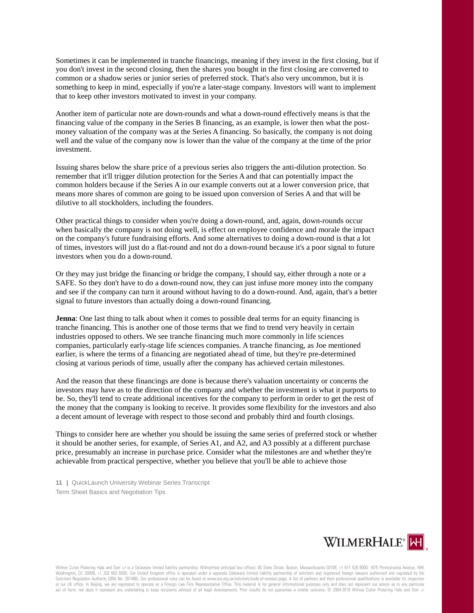Sometimes it can be implemented in tranche financings, meaning if they invest in the first closing, but if you don't invest in the second closing, then the shares you bought in the first closing are converted to common or a shadow series or junior series of preferred stock. That's also very uncommon, but it is something to keep in mind, especially if you're a later-stage company. Investors will want to implement that to keep other investors motivated to invest in your company.

Another item of particular note are down-rounds and what a down-round effectively means is that the financing value of the company in the Series B financing, as an example, is lower then what the postmoney valuation of the company was at the Series A financing. So basically, the company is not doing well and the value of the company now is lower than the value of the company at the time of the prior investment.

Issuing shares below the share price of a previous series also triggers the anti-dilution protection. So remember that it'll trigger dilution protection for the Series A and that can potentially impact the common holders because if the Series A in our example converts out at a lower conversion price, that means more shares of common are going to be issued upon conversion of Series A and that will be dilutive to all stockholders, including the founders.

Other practical things to consider when you're doing a down-round, and, again, down-rounds occur when basically the company is not doing well, is effect on employee confidence and morale the impact on the company's future fundraising efforts. And some alternatives to doing a down-round is that a lot of times, investors will just do a flat-round and not do a down-round because it's a poor signal to future investors when you do a down-round.

Or they may just bridge the financing or bridge the company, I should say, either through a note or a SAFE. So they don't have to do a down-round now, they can just infuse more money into the company and see if the company can turn it around without having to do a down-round. And, again, that's a better signal to future investors than actually doing a down-round financing.

**Jenna**: One last thing to talk about when it comes to possible deal terms for an equity financing is tranche financing. This is another one of those terms that we find to trend very heavily in certain industries opposed to others. We see tranche financing much more commonly in life sciences companies, particularly early-stage life sciences companies. A tranche financing, as Joe mentioned earlier, is where the terms of a financing are negotiated ahead of time, but they're pre-determined closing at various periods of time, usually after the company has achieved certain milestones.

And the reason that these financings are done is because there's valuation uncertainty or concerns the investors may have as to the direction of the company and whether the investment is what it purports to be. So, they'll tend to create additional incentives for the company to perform in order to get the rest of the money that the company is looking to receive. It provides some flexibility for the investors and also a decent amount of leverage with respect to those second and probably third and fourth closings.

Things to consider here are whether you should be issuing the same series of preferred stock or whether it should be another series, for example, of Series A1, and A2, and A3 possibly at a different purchase price, presumably an increase in purchase price. Consider what the milestones are and whether they're achievable from practical perspective, whether you believe that you'll be able to achieve those

**11 |** QuickLaunch University Webinar Series Transcript Term Sheet Basics and Negotiation Tips

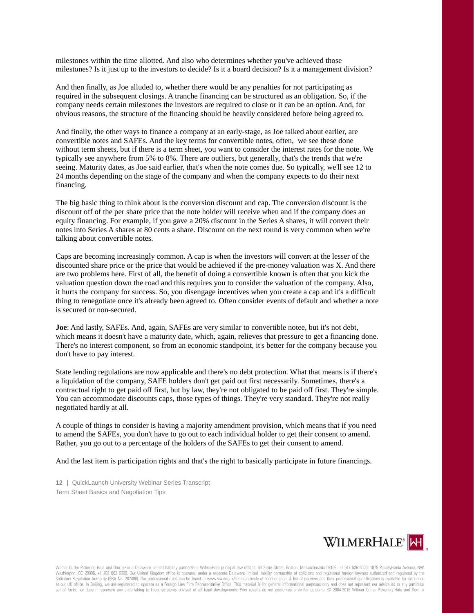milestones within the time allotted. And also who determines whether you've achieved those milestones? Is it just up to the investors to decide? Is it a board decision? Is it a management division?

And then finally, as Joe alluded to, whether there would be any penalties for not participating as required in the subsequent closings. A tranche financing can be structured as an obligation. So, if the company needs certain milestones the investors are required to close or it can be an option. And, for obvious reasons, the structure of the financing should be heavily considered before being agreed to.

And finally, the other ways to finance a company at an early-stage, as Joe talked about earlier, are convertible notes and SAFEs. And the key terms for convertible notes, often, we see these done without term sheets, but if there is a term sheet, you want to consider the interest rates for the note. We typically see anywhere from 5% to 8%. There are outliers, but generally, that's the trends that we're seeing. Maturity dates, as Joe said earlier, that's when the note comes due. So typically, we'll see 12 to 24 months depending on the stage of the company and when the company expects to do their next financing.

The big basic thing to think about is the conversion discount and cap. The conversion discount is the discount off of the per share price that the note holder will receive when and if the company does an equity financing. For example, if you gave a 20% discount in the Series A shares, it will convert their notes into Series A shares at 80 cents a share. Discount on the next round is very common when we're talking about convertible notes.

Caps are becoming increasingly common. A cap is when the investors will convert at the lesser of the discounted share price or the price that would be achieved if the pre-money valuation was X. And there are two problems here. First of all, the benefit of doing a convertible known is often that you kick the valuation question down the road and this requires you to consider the valuation of the company. Also, it hurts the company for success. So, you disengage incentives when you create a cap and it's a difficult thing to renegotiate once it's already been agreed to. Often consider events of default and whether a note is secured or non-secured.

**Joe**: And lastly, SAFEs. And, again, SAFEs are very similar to convertible notee, but it's not debt, which means it doesn't have a maturity date, which, again, relieves that pressure to get a financing done. There's no interest component, so from an economic standpoint, it's better for the company because you don't have to pay interest.

State lending regulations are now applicable and there's no debt protection. What that means is if there's a liquidation of the company, SAFE holders don't get paid out first necessarily. Sometimes, there's a contractual right to get paid off first, but by law, they're not obligated to be paid off first. They're simple. You can accommodate discounts caps, those types of things. They're very standard. They're not really negotiated hardly at all.

A couple of things to consider is having a majority amendment provision, which means that if you need to amend the SAFEs, you don't have to go out to each individual holder to get their consent to amend. Rather, you go out to a percentage of the holders of the SAFEs to get their consent to amend.

And the last item is participation rights and that's the right to basically participate in future financings.

**12 |** QuickLaunch University Webinar Series Transcript Term Sheet Basics and Negotiation Tips

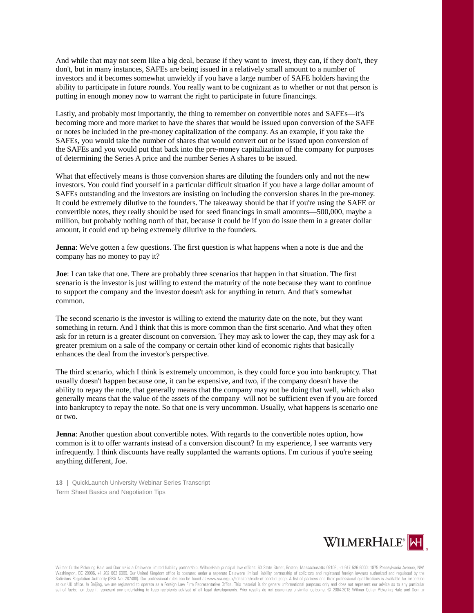And while that may not seem like a big deal, because if they want to invest, they can, if they don't, they don't, but in many instances, SAFEs are being issued in a relatively small amount to a number of investors and it becomes somewhat unwieldy if you have a large number of SAFE holders having the ability to participate in future rounds. You really want to be cognizant as to whether or not that person is putting in enough money now to warrant the right to participate in future financings.

Lastly, and probably most importantly, the thing to remember on convertible notes and SAFEs—it's becoming more and more market to have the shares that would be issued upon conversion of the SAFE or notes be included in the pre-money capitalization of the company. As an example, if you take the SAFEs, you would take the number of shares that would convert out or be issued upon conversion of the SAFEs and you would put that back into the pre-money capitalization of the company for purposes of determining the Series A price and the number Series A shares to be issued.

What that effectively means is those conversion shares are diluting the founders only and not the new investors. You could find yourself in a particular difficult situation if you have a large dollar amount of SAFEs outstanding and the investors are insisting on including the conversion shares in the pre-money. It could be extremely dilutive to the founders. The takeaway should be that if you're using the SAFE or convertible notes, they really should be used for seed financings in small amounts—500,000, maybe a million, but probably nothing north of that, because it could be if you do issue them in a greater dollar amount, it could end up being extremely dilutive to the founders.

**Jenna**: We've gotten a few questions. The first question is what happens when a note is due and the company has no money to pay it?

**Joe**: I can take that one. There are probably three scenarios that happen in that situation. The first scenario is the investor is just willing to extend the maturity of the note because they want to continue to support the company and the investor doesn't ask for anything in return. And that's somewhat common.

The second scenario is the investor is willing to extend the maturity date on the note, but they want something in return. And I think that this is more common than the first scenario. And what they often ask for in return is a greater discount on conversion. They may ask to lower the cap, they may ask for a greater premium on a sale of the company or certain other kind of economic rights that basically enhances the deal from the investor's perspective.

The third scenario, which I think is extremely uncommon, is they could force you into bankruptcy. That usually doesn't happen because one, it can be expensive, and two, if the company doesn't have the ability to repay the note, that generally means that the company may not be doing that well, which also generally means that the value of the assets of the company will not be sufficient even if you are forced into bankruptcy to repay the note. So that one is very uncommon. Usually, what happens is scenario one or two.

**Jenna**: Another question about convertible notes. With regards to the convertible notes option, how common is it to offer warrants instead of a conversion discount? In my experience, I see warrants very infrequently. I think discounts have really supplanted the warrants options. I'm curious if you're seeing anything different, Joe.

**13 |** QuickLaunch University Webinar Series Transcript Term Sheet Basics and Negotiation Tips